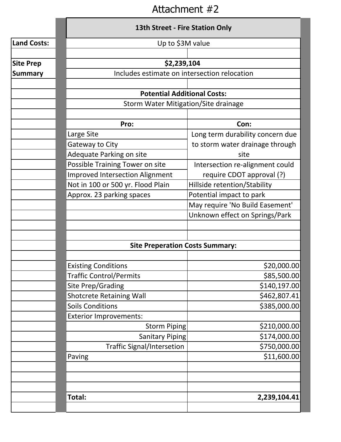## Attachment #2

|                    | <b>13th Street - Fire Station Only</b>       |                                                                   |  |  |  |  |  |
|--------------------|----------------------------------------------|-------------------------------------------------------------------|--|--|--|--|--|
| <b>Land Costs:</b> | Up to \$3M value                             |                                                                   |  |  |  |  |  |
|                    |                                              |                                                                   |  |  |  |  |  |
| <b>Site Prep</b>   | \$2,239,104                                  |                                                                   |  |  |  |  |  |
| <b>Summary</b>     | Includes estimate on intersection relocation |                                                                   |  |  |  |  |  |
|                    |                                              |                                                                   |  |  |  |  |  |
|                    | <b>Potential Additional Costs:</b>           |                                                                   |  |  |  |  |  |
|                    | Storm Water Mitigation/Site drainage         |                                                                   |  |  |  |  |  |
|                    |                                              |                                                                   |  |  |  |  |  |
|                    | Pro:                                         | Con:                                                              |  |  |  |  |  |
|                    | Large Site                                   | Long term durability concern due                                  |  |  |  |  |  |
|                    | Gateway to City                              | to storm water drainage through                                   |  |  |  |  |  |
|                    | Adequate Parking on site                     | site                                                              |  |  |  |  |  |
|                    | Possible Training Tower on site              | Intersection re-alignment could                                   |  |  |  |  |  |
|                    | <b>Improved Intersection Alignment</b>       | require CDOT approval (?)                                         |  |  |  |  |  |
|                    | Not in 100 or 500 yr. Flood Plain            | Hillside retention/Stability                                      |  |  |  |  |  |
|                    | Approx. 23 parking spaces                    | Potential impact to park                                          |  |  |  |  |  |
|                    |                                              | May require 'No Build Easement'<br>Unknown effect on Springs/Park |  |  |  |  |  |
|                    |                                              |                                                                   |  |  |  |  |  |
|                    |                                              |                                                                   |  |  |  |  |  |
|                    |                                              |                                                                   |  |  |  |  |  |
|                    | <b>Site Preperation Costs Summary:</b>       |                                                                   |  |  |  |  |  |
|                    |                                              |                                                                   |  |  |  |  |  |
|                    | <b>Existing Conditions</b>                   | \$20,000.00                                                       |  |  |  |  |  |
|                    | <b>Traffic Control/Permits</b>               | \$85,500.00                                                       |  |  |  |  |  |
|                    | Site Prep/Grading                            | \$140,197.00                                                      |  |  |  |  |  |
|                    | <b>Shotcrete Retaining Wall</b>              | \$462,807.41                                                      |  |  |  |  |  |
|                    | <b>Soils Conditions</b>                      | \$385,000.00                                                      |  |  |  |  |  |
|                    | <b>Exterior Improvements:</b>                |                                                                   |  |  |  |  |  |
|                    | Storm Piping                                 | \$210,000.00                                                      |  |  |  |  |  |
|                    | Sanitary Piping                              | \$174,000.00                                                      |  |  |  |  |  |
|                    | <b>Traffic Signal/Intersetion</b>            | \$750,000.00                                                      |  |  |  |  |  |
|                    | Paving                                       | \$11,600.00                                                       |  |  |  |  |  |
|                    |                                              |                                                                   |  |  |  |  |  |
|                    |                                              |                                                                   |  |  |  |  |  |
|                    |                                              |                                                                   |  |  |  |  |  |
|                    | Total:                                       | 2,239,104.41                                                      |  |  |  |  |  |
|                    |                                              |                                                                   |  |  |  |  |  |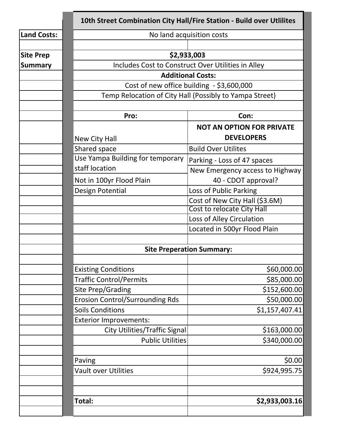|                    | 10th Street Combination City Hall/Fire Station - Build over Utlilites                                                                                                                  |                                  |  |  |  |  |  |
|--------------------|----------------------------------------------------------------------------------------------------------------------------------------------------------------------------------------|----------------------------------|--|--|--|--|--|
| <b>Land Costs:</b> | No land acquisition costs                                                                                                                                                              |                                  |  |  |  |  |  |
|                    |                                                                                                                                                                                        |                                  |  |  |  |  |  |
| <b>Site Prep</b>   |                                                                                                                                                                                        | \$2,933,003                      |  |  |  |  |  |
| <b>Summary</b>     | Includes Cost to Construct Over Utilities in Alley<br><b>Additional Costs:</b><br>Cost of new office building - \$3,600,000<br>Temp Relocation of City Hall (Possibly to Yampa Street) |                                  |  |  |  |  |  |
|                    |                                                                                                                                                                                        |                                  |  |  |  |  |  |
|                    |                                                                                                                                                                                        |                                  |  |  |  |  |  |
|                    |                                                                                                                                                                                        |                                  |  |  |  |  |  |
|                    |                                                                                                                                                                                        |                                  |  |  |  |  |  |
|                    | Pro:                                                                                                                                                                                   | Con:                             |  |  |  |  |  |
|                    |                                                                                                                                                                                        | <b>NOT AN OPTION FOR PRIVATE</b> |  |  |  |  |  |
|                    | New City Hall                                                                                                                                                                          | <b>DEVELOPERS</b>                |  |  |  |  |  |
|                    | Shared space                                                                                                                                                                           | <b>Build Over Utilites</b>       |  |  |  |  |  |
|                    | Use Yampa Building for temporary                                                                                                                                                       | Parking - Loss of 47 spaces      |  |  |  |  |  |
|                    | staff location                                                                                                                                                                         | New Emergency access to Highway  |  |  |  |  |  |
|                    | Not in 100yr Flood Plain                                                                                                                                                               | 40 - CDOT approval?              |  |  |  |  |  |
|                    | Design Potential                                                                                                                                                                       | Loss of Public Parking           |  |  |  |  |  |
|                    |                                                                                                                                                                                        | Cost of New City Hall (\$3.6M)   |  |  |  |  |  |
|                    |                                                                                                                                                                                        | Cost to relocate City Hall       |  |  |  |  |  |
|                    |                                                                                                                                                                                        | Loss of Alley Circulation        |  |  |  |  |  |
|                    |                                                                                                                                                                                        | Located in 500yr Flood Plain     |  |  |  |  |  |
|                    |                                                                                                                                                                                        |                                  |  |  |  |  |  |
|                    | <b>Site Preperation Summary:</b>                                                                                                                                                       |                                  |  |  |  |  |  |
|                    |                                                                                                                                                                                        |                                  |  |  |  |  |  |
|                    | <b>Existing Conditions</b>                                                                                                                                                             | \$60,000.00]                     |  |  |  |  |  |
|                    | <b>Traffic Control/Permits</b>                                                                                                                                                         | \$85,000.00                      |  |  |  |  |  |
|                    | Site Prep/Grading                                                                                                                                                                      | \$152,600.00]                    |  |  |  |  |  |
|                    | <b>Erosion Control/Surrounding Rds</b>                                                                                                                                                 | \$50,000.00                      |  |  |  |  |  |
|                    | <b>Soils Conditions</b>                                                                                                                                                                | \$1,157,407.41                   |  |  |  |  |  |
|                    | <b>Exterior Improvements:</b>                                                                                                                                                          |                                  |  |  |  |  |  |
|                    | <b>City Utilities/Traffic Signal</b>                                                                                                                                                   | \$163,000.00                     |  |  |  |  |  |
|                    | <b>Public Utilities</b>                                                                                                                                                                | \$340,000.00                     |  |  |  |  |  |
|                    |                                                                                                                                                                                        |                                  |  |  |  |  |  |
|                    | Paving                                                                                                                                                                                 | \$0.00                           |  |  |  |  |  |
|                    | <b>Vault over Utilities</b>                                                                                                                                                            | \$924,995.75                     |  |  |  |  |  |
|                    |                                                                                                                                                                                        |                                  |  |  |  |  |  |
|                    |                                                                                                                                                                                        |                                  |  |  |  |  |  |
|                    | Total:                                                                                                                                                                                 | \$2,933,003.16                   |  |  |  |  |  |
|                    |                                                                                                                                                                                        |                                  |  |  |  |  |  |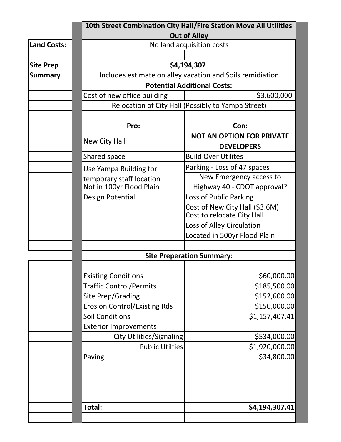|                    | 10th Street Combination City Hall/Fire Station Move All Utilities |                                                    |  |  |  |  |  |
|--------------------|-------------------------------------------------------------------|----------------------------------------------------|--|--|--|--|--|
| <b>Land Costs:</b> | <b>Out of Alley</b>                                               |                                                    |  |  |  |  |  |
|                    | No land acquisition costs                                         |                                                    |  |  |  |  |  |
| <b>Site Prep</b>   | \$4,194,307                                                       |                                                    |  |  |  |  |  |
| <b>Summary</b>     | Includes estimate on alley vacation and Soils remidiation         |                                                    |  |  |  |  |  |
|                    | <b>Potential Additional Costs:</b>                                |                                                    |  |  |  |  |  |
|                    | Cost of new office building                                       | \$3,600,000                                        |  |  |  |  |  |
|                    |                                                                   | Relocation of City Hall (Possibly to Yampa Street) |  |  |  |  |  |
|                    |                                                                   |                                                    |  |  |  |  |  |
|                    | Pro:                                                              | Con:                                               |  |  |  |  |  |
|                    |                                                                   | <b>NOT AN OPTION FOR PRIVATE</b>                   |  |  |  |  |  |
|                    | <b>New City Hall</b>                                              | <b>DEVELOPERS</b>                                  |  |  |  |  |  |
|                    | Shared space                                                      | <b>Build Over Utilites</b>                         |  |  |  |  |  |
|                    | Use Yampa Building for                                            | Parking - Loss of 47 spaces                        |  |  |  |  |  |
|                    | temporary staff location                                          | New Emergency access to                            |  |  |  |  |  |
|                    | Not in 100yr Flood Plain                                          | Highway 40 - CDOT approval?                        |  |  |  |  |  |
|                    | Design Potential                                                  | Loss of Public Parking                             |  |  |  |  |  |
|                    |                                                                   | Cost of New City Hall (\$3.6M)                     |  |  |  |  |  |
|                    |                                                                   | Cost to relocate City Hall                         |  |  |  |  |  |
|                    |                                                                   | Loss of Alley Circulation                          |  |  |  |  |  |
|                    |                                                                   | Located in 500yr Flood Plain                       |  |  |  |  |  |
|                    |                                                                   |                                                    |  |  |  |  |  |
|                    | <b>Site Preperation Summary:</b>                                  |                                                    |  |  |  |  |  |
|                    |                                                                   |                                                    |  |  |  |  |  |
|                    | <b>Existing Conditions</b>                                        | \$60,000.00]                                       |  |  |  |  |  |
|                    | <b>Traffic Control/Permits</b>                                    | \$185,500.00                                       |  |  |  |  |  |
|                    | Site Prep/Grading                                                 | \$152,600.00                                       |  |  |  |  |  |
|                    | <b>Erosion Control/Existing Rds</b>                               | \$150,000.00                                       |  |  |  |  |  |
|                    | <b>Soil Conditions</b>                                            | \$1,157,407.41                                     |  |  |  |  |  |
|                    | <b>Exterior Improvements</b>                                      |                                                    |  |  |  |  |  |
|                    | City Utilities/Signaling                                          | \$534,000.00                                       |  |  |  |  |  |
|                    | <b>Public Utilties</b>                                            | \$1,920,000.00                                     |  |  |  |  |  |
|                    | Paving                                                            | \$34,800.00                                        |  |  |  |  |  |
|                    |                                                                   |                                                    |  |  |  |  |  |
|                    |                                                                   |                                                    |  |  |  |  |  |
|                    |                                                                   |                                                    |  |  |  |  |  |
|                    |                                                                   |                                                    |  |  |  |  |  |
|                    | Total:                                                            | \$4,194,307.41                                     |  |  |  |  |  |
|                    |                                                                   |                                                    |  |  |  |  |  |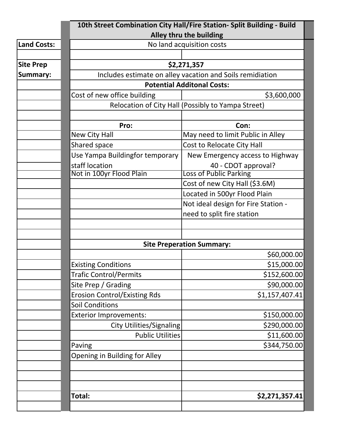|                    | 10th Street Combination City Hall/Fire Station- Split Building - Build                                                                       |                                     |  |  |  |  |  |  |
|--------------------|----------------------------------------------------------------------------------------------------------------------------------------------|-------------------------------------|--|--|--|--|--|--|
|                    | Alley thru the building                                                                                                                      |                                     |  |  |  |  |  |  |
| <b>Land Costs:</b> | No land acquisition costs                                                                                                                    |                                     |  |  |  |  |  |  |
| <b>Site Prep</b>   |                                                                                                                                              |                                     |  |  |  |  |  |  |
| <b>Summary:</b>    | \$2,271,357                                                                                                                                  |                                     |  |  |  |  |  |  |
|                    | Includes estimate on alley vacation and Soils remidiation<br><b>Potential Additonal Costs:</b><br>Cost of new office building<br>\$3,600,000 |                                     |  |  |  |  |  |  |
|                    |                                                                                                                                              |                                     |  |  |  |  |  |  |
|                    | Relocation of City Hall (Possibly to Yampa Street)                                                                                           |                                     |  |  |  |  |  |  |
|                    |                                                                                                                                              |                                     |  |  |  |  |  |  |
|                    | Pro:                                                                                                                                         | Con:                                |  |  |  |  |  |  |
|                    | New City Hall                                                                                                                                | May need to limit Public in Alley   |  |  |  |  |  |  |
|                    | Shared space                                                                                                                                 | Cost to Relocate City Hall          |  |  |  |  |  |  |
|                    | Use Yampa Buildingfor temporary                                                                                                              | New Emergency access to Highway     |  |  |  |  |  |  |
|                    | staff location                                                                                                                               | 40 - CDOT approval?                 |  |  |  |  |  |  |
|                    | Not in 100yr Flood Plain                                                                                                                     | <b>Loss of Public Parking</b>       |  |  |  |  |  |  |
|                    |                                                                                                                                              | Cost of new City Hall (\$3.6M)      |  |  |  |  |  |  |
|                    |                                                                                                                                              | Located in 500yr Flood Plain        |  |  |  |  |  |  |
|                    |                                                                                                                                              | Not ideal design for Fire Station - |  |  |  |  |  |  |
|                    |                                                                                                                                              | need to split fire station          |  |  |  |  |  |  |
|                    |                                                                                                                                              |                                     |  |  |  |  |  |  |
|                    |                                                                                                                                              |                                     |  |  |  |  |  |  |
|                    |                                                                                                                                              | <b>Site Preperation Summary:</b>    |  |  |  |  |  |  |
|                    |                                                                                                                                              | \$60,000.00                         |  |  |  |  |  |  |
|                    | <b>Existing Conditions</b>                                                                                                                   | \$15,000.00                         |  |  |  |  |  |  |
|                    | <b>Trafic Control/Permits</b>                                                                                                                | \$152,600.00                        |  |  |  |  |  |  |
|                    | Site Prep / Grading                                                                                                                          | \$90,000.00                         |  |  |  |  |  |  |
|                    | <b>Erosion Control/Existing Rds</b>                                                                                                          | \$1,157,407.41                      |  |  |  |  |  |  |
|                    | <b>Soil Conditions</b>                                                                                                                       |                                     |  |  |  |  |  |  |
|                    | <b>Exterior Improvements:</b>                                                                                                                | \$150,000.00                        |  |  |  |  |  |  |
|                    | City Utilities/Signaling                                                                                                                     | \$290,000.00                        |  |  |  |  |  |  |
|                    | <b>Public Utilities</b>                                                                                                                      | \$11,600.00                         |  |  |  |  |  |  |
|                    | Paving                                                                                                                                       | \$344,750.00                        |  |  |  |  |  |  |
|                    | <b>Opening in Building for Alley</b>                                                                                                         |                                     |  |  |  |  |  |  |
|                    |                                                                                                                                              |                                     |  |  |  |  |  |  |
|                    |                                                                                                                                              |                                     |  |  |  |  |  |  |
|                    |                                                                                                                                              |                                     |  |  |  |  |  |  |
|                    | Total:                                                                                                                                       | \$2,271,357.41                      |  |  |  |  |  |  |
|                    |                                                                                                                                              |                                     |  |  |  |  |  |  |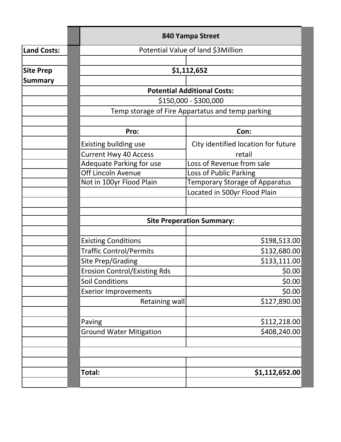|                    | 840 Yampa Street                    |                                                  |  |  |  |  |  |  |  |
|--------------------|-------------------------------------|--------------------------------------------------|--|--|--|--|--|--|--|
| <b>Land Costs:</b> |                                     | Potential Value of land \$3Million               |  |  |  |  |  |  |  |
|                    |                                     |                                                  |  |  |  |  |  |  |  |
| <b>Site Prep</b>   |                                     | \$1,112,652                                      |  |  |  |  |  |  |  |
| <b>Summary</b>     |                                     |                                                  |  |  |  |  |  |  |  |
|                    |                                     | <b>Potential Additional Costs:</b>               |  |  |  |  |  |  |  |
|                    |                                     | \$150,000 - \$300,000                            |  |  |  |  |  |  |  |
|                    |                                     | Temp storage of Fire Appartatus and temp parking |  |  |  |  |  |  |  |
|                    | Pro:                                | Con:                                             |  |  |  |  |  |  |  |
|                    | <b>Existing building use</b>        | City identified location for future              |  |  |  |  |  |  |  |
|                    | <b>Current Hwy 40 Access</b>        | retail                                           |  |  |  |  |  |  |  |
|                    | <b>Adequate Parking for use</b>     | Loss of Revenue from sale                        |  |  |  |  |  |  |  |
|                    | Off Lincoln Avenue                  | Loss of Public Parking                           |  |  |  |  |  |  |  |
|                    | Not in 100yr Flood Plain            | <b>Temporary Storage of Apparatus</b>            |  |  |  |  |  |  |  |
|                    |                                     | Located in 500yr Flood Plain                     |  |  |  |  |  |  |  |
|                    |                                     |                                                  |  |  |  |  |  |  |  |
|                    | <b>Site Preperation Summary:</b>    |                                                  |  |  |  |  |  |  |  |
|                    |                                     |                                                  |  |  |  |  |  |  |  |
|                    | <b>Existing Conditions</b>          | \$198,513.00                                     |  |  |  |  |  |  |  |
|                    | <b>Traffic Control/Permits</b>      | \$132,680.00                                     |  |  |  |  |  |  |  |
|                    | Site Prep/Grading                   | \$133,111.00                                     |  |  |  |  |  |  |  |
|                    | <b>Erosion Control/Existing Rds</b> | \$0.00                                           |  |  |  |  |  |  |  |
|                    | <b>Soil Conditions</b>              | \$0.00                                           |  |  |  |  |  |  |  |
|                    | <b>Exerior Improvements</b>         | \$0.00                                           |  |  |  |  |  |  |  |
|                    | Retaining wall                      | \$127,890.00                                     |  |  |  |  |  |  |  |
|                    | Paving                              | \$112,218.00                                     |  |  |  |  |  |  |  |
|                    | <b>Ground Water Mitigation</b>      | \$408,240.00                                     |  |  |  |  |  |  |  |
|                    |                                     |                                                  |  |  |  |  |  |  |  |
|                    | Total:                              | \$1,112,652.00                                   |  |  |  |  |  |  |  |
|                    |                                     |                                                  |  |  |  |  |  |  |  |